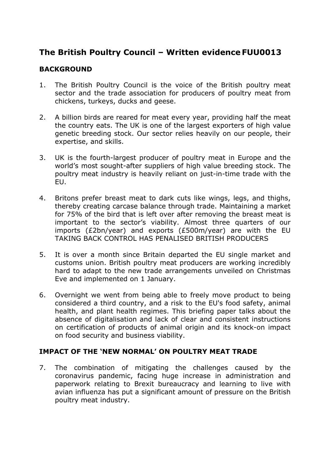# **The British Poultry Council – Written evidence FUU0013**

## **BACKGROUND**

- 1. The British Poultry Council is the voice of the British poultry meat sector and the trade association for producers of poultry meat from chickens, turkeys, ducks and geese.
- 2. A billion birds are reared for meat every year, providing half the meat the country eats. The UK is one of the largest exporters of high value genetic breeding stock. Our sector relies heavily on our people, their expertise, and skills.
- 3. UK is the fourth-largest producer of poultry meat in Europe and the world's most sought-after suppliers of high value breeding stock. The poultry meat industry is heavily reliant on just-in-time trade with the EU.
- 4. Britons prefer breast meat to dark cuts like wings, legs, and thighs, thereby creating carcase balance through trade. Maintaining a market for 75% of the bird that is left over after removing the breast meat is important to the sector's viability. Almost three quarters of our imports (£2bn/year) and exports (£500m/year) are with the EU TAKING BACK CONTROL HAS PENALISED BRITISH PRODUCERS
- 5. It is over a month since Britain departed the EU single market and customs union. British poultry meat producers are working incredibly hard to adapt to the new trade arrangements unveiled on Christmas Eve and implemented on 1 January.
- 6. Overnight we went from being able to freely move product to being considered a third country, and a risk to the EU's food safety, animal health, and plant health regimes. This briefing paper talks about the absence of digitalisation and lack of clear and consistent instructions on certification of products of animal origin and its knock-on impact on food security and business viability.

### **IMPACT OF THE 'NEW NORMAL' ON POULTRY MEAT TRADE**

7. The combination of mitigating the challenges caused by the coronavirus pandemic, facing huge increase in administration and paperwork relating to Brexit bureaucracy and learning to live with avian influenza has put a significant amount of pressure on the British poultry meat industry.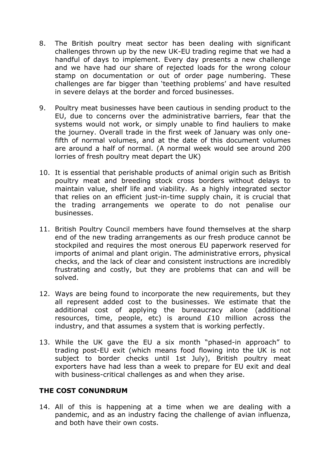- 8. The British poultry meat sector has been dealing with significant challenges thrown up by the new UK-EU trading regime that we had a handful of days to implement. Every day presents a new challenge and we have had our share of rejected loads for the wrong colour stamp on documentation or out of order page numbering. These challenges are far bigger than 'teething problems' and have resulted in severe delays at the border and forced businesses.
- 9. Poultry meat businesses have been cautious in sending product to the EU, due to concerns over the administrative barriers, fear that the systems would not work, or simply unable to find hauliers to make the journey. Overall trade in the first week of January was only onefifth of normal volumes, and at the date of this document volumes are around a half of normal. (A normal week would see around 200 lorries of fresh poultry meat depart the UK)
- 10. It is essential that perishable products of animal origin such as British poultry meat and breeding stock cross borders without delays to maintain value, shelf life and viability. As a highly integrated sector that relies on an efficient just-in-time supply chain, it is crucial that the trading arrangements we operate to do not penalise our businesses.
- 11. British Poultry Council members have found themselves at the sharp end of the new trading arrangements as our fresh produce cannot be stockpiled and requires the most onerous EU paperwork reserved for imports of animal and plant origin. The administrative errors, physical checks, and the lack of clear and consistent instructions are incredibly frustrating and costly, but they are problems that can and will be solved.
- 12. Ways are being found to incorporate the new requirements, but they all represent added cost to the businesses. We estimate that the additional cost of applying the bureaucracy alone (additional resources, time, people, etc) is around £10 million across the industry, and that assumes a system that is working perfectly.
- 13. While the UK gave the EU a six month "phased-in approach" to trading post-EU exit (which means food flowing into the UK is not subject to border checks until 1st July), British poultry meat exporters have had less than a week to prepare for EU exit and deal with business-critical challenges as and when they arise.

### **THE COST CONUNDRUM**

14. All of this is happening at a time when we are dealing with a pandemic, and as an industry facing the challenge of avian influenza, and both have their own costs.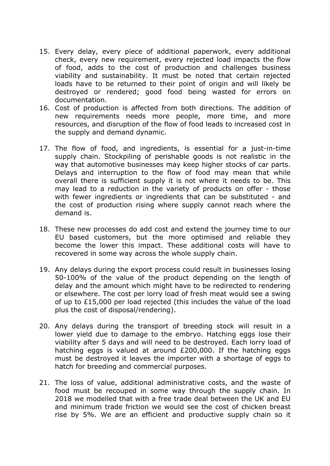- 15. Every delay, every piece of additional paperwork, every additional check, every new requirement, every rejected load impacts the flow of food, adds to the cost of production and challenges business viability and sustainability. It must be noted that certain rejected loads have to be returned to their point of origin and will likely be destroyed or rendered; good food being wasted for errors on documentation.
- 16. Cost of production is affected from both directions. The addition of new requirements needs more people, more time, and more resources, and disruption of the flow of food leads to increased cost in the supply and demand dynamic.
- 17. The flow of food, and ingredients, is essential for a just-in-time supply chain. Stockpiling of perishable goods is not realistic in the way that automotive businesses may keep higher stocks of car parts. Delays and interruption to the flow of food may mean that while overall there is sufficient supply it is not where it needs to be. This may lead to a reduction in the variety of products on offer - those with fewer ingredients or ingredients that can be substituted - and the cost of production rising where supply cannot reach where the demand is.
- 18. These new processes do add cost and extend the journey time to our EU based customers, but the more optimised and reliable they become the lower this impact. These additional costs will have to recovered in some way across the whole supply chain.
- 19. Any delays during the export process could result in businesses losing 50-100% of the value of the product depending on the length of delay and the amount which might have to be redirected to rendering or elsewhere. The cost per lorry load of fresh meat would see a swing of up to £15,000 per load rejected (this includes the value of the load plus the cost of disposal/rendering).
- 20. Any delays during the transport of breeding stock will result in a lower yield due to damage to the embryo. Hatching eggs lose their viability after 5 days and will need to be destroyed. Each lorry load of hatching eggs is valued at around £200,000. If the hatching eggs must be destroyed it leaves the importer with a shortage of eggs to hatch for breeding and commercial purposes.
- 21. The loss of value, additional administrative costs, and the waste of food must be recouped in some way through the supply chain. In 2018 we modelled that with a free trade deal between the UK and EU and minimum trade friction we would see the cost of chicken breast rise by 5%. We are an efficient and productive supply chain so it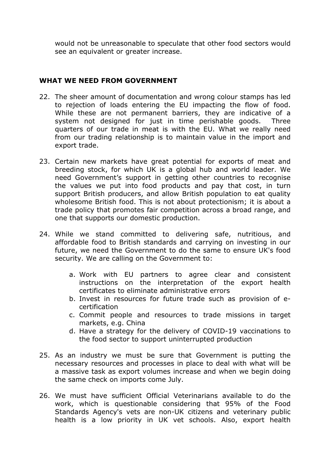would not be unreasonable to speculate that other food sectors would see an equivalent or greater increase.

#### **WHAT WE NEED FROM GOVERNMENT**

- 22. The sheer amount of documentation and wrong colour stamps has led to rejection of loads entering the EU impacting the flow of food. While these are not permanent barriers, they are indicative of a system not designed for just in time perishable goods. Three quarters of our trade in meat is with the EU. What we really need from our trading relationship is to maintain value in the import and export trade.
- 23. Certain new markets have great potential for exports of meat and breeding stock, for which UK is a global hub and world leader. We need Government's support in getting other countries to recognise the values we put into food products and pay that cost, in turn support British producers, and allow British population to eat quality wholesome British food. This is not about protectionism; it is about a trade policy that promotes fair competition across a broad range, and one that supports our domestic production.
- 24. While we stand committed to delivering safe, nutritious, and affordable food to British standards and carrying on investing in our future, we need the Government to do the same to ensure UK's food security. We are calling on the Government to:
	- a. Work with EU partners to agree clear and consistent instructions on the interpretation of the export health certificates to eliminate administrative errors
	- b. Invest in resources for future trade such as provision of ecertification
	- c. Commit people and resources to trade missions in target markets, e.g. China
	- d. Have a strategy for the delivery of COVID-19 vaccinations to the food sector to support uninterrupted production
- 25. As an industry we must be sure that Government is putting the necessary resources and processes in place to deal with what will be a massive task as export volumes increase and when we begin doing the same check on imports come July.
- 26. We must have sufficient Official Veterinarians available to do the work, which is questionable considering that 95% of the Food Standards Agency's vets are non-UK citizens and veterinary public health is a low priority in UK vet schools. Also, export health